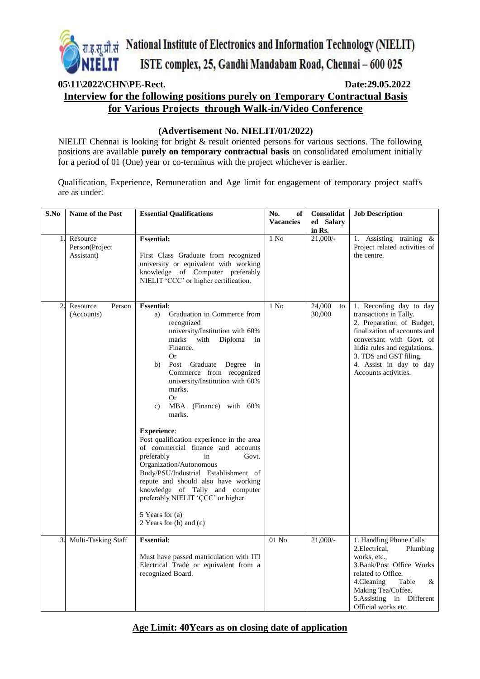

# **05\11\2022\CHN\PE-Rect. Date:29.05.2022 Interview for the following positions purely on Temporary Contractual Basis for Various Projects through Walk-in/Video Conference**

#### **(Advertisement No. NIELIT/01/2022)**

NIELIT Chennai is looking for bright & result oriented persons for various sections. The following positions are available **purely on temporary contractual basis** on consolidated emolument initially for a period of 01 (One) year or co-terminus with the project whichever is earlier.

Qualification, Experience, Remuneration and Age limit for engagement of temporary project staffs are as under:

| S.No             | <b>Name of the Post</b>                  | <b>Essential Qualifications</b>                                                                                                                                                                                                                                                                                                                                                                                                                                                                                                                                                                                                                                                                         | No.<br>of<br><b>Vacancies</b> | Consolidat<br>ed Salary<br>in Rs. | <b>Job Description</b>                                                                                                                                                                                                                                  |
|------------------|------------------------------------------|---------------------------------------------------------------------------------------------------------------------------------------------------------------------------------------------------------------------------------------------------------------------------------------------------------------------------------------------------------------------------------------------------------------------------------------------------------------------------------------------------------------------------------------------------------------------------------------------------------------------------------------------------------------------------------------------------------|-------------------------------|-----------------------------------|---------------------------------------------------------------------------------------------------------------------------------------------------------------------------------------------------------------------------------------------------------|
| 1.               | Resource<br>Person(Project<br>Assistant) | <b>Essential:</b><br>First Class Graduate from recognized<br>university or equivalent with working<br>knowledge of Computer preferably<br>NIELIT 'CCC' or higher certification.                                                                                                                                                                                                                                                                                                                                                                                                                                                                                                                         | $1$ No                        | $21,000/-$                        | 1. Assisting training &<br>Project related activities of<br>the centre.                                                                                                                                                                                 |
| $\overline{2}$ . | Resource<br>Person<br>(Accounts)         | <b>Essential:</b><br>Graduation in Commerce from<br>a)<br>recognized<br>university/Institution with 60%<br>marks with<br>Diploma<br>in<br>Finance.<br><b>Or</b><br>Post Graduate Degree in<br>b)<br>Commerce from recognized<br>university/Institution with 60%<br>marks.<br><b>Or</b><br>MBA (Finance) with 60%<br>c)<br>marks.<br><b>Experience:</b><br>Post qualification experience in the area<br>of commercial finance and accounts<br>preferably<br>Govt.<br>in<br>Organization/Autonomous<br>Body/PSU/Industrial Establishment of<br>repute and should also have working<br>knowledge of Tally and computer<br>preferably NIELIT 'ÇCC' or higher.<br>5 Years for (a)<br>2 Years for (b) and (c) | $1$ No                        | 24,000<br>to<br>30,000            | 1. Recording day to day<br>transactions in Tally.<br>2. Preparation of Budget,<br>finalization of accounts and<br>conversant with Govt. of<br>India rules and regulations.<br>3. TDS and GST filing.<br>4. Assist in day to day<br>Accounts activities. |
| 3 <sub>1</sub>   | Multi-Tasking Staff                      | <b>Essential:</b><br>Must have passed matriculation with ITI<br>Electrical Trade or equivalent from a<br>recognized Board.                                                                                                                                                                                                                                                                                                                                                                                                                                                                                                                                                                              | $01$ No                       | $21,000/-$                        | 1. Handling Phone Calls<br>2. Electrical,<br>Plumbing<br>works, etc.,<br>3. Bank/Post Office Works<br>related to Office.<br>4. Cleaning<br>Table<br>&<br>Making Tea/Coffee.<br>5.Assisting in Different<br>Official works etc.                          |

## **Age Limit: 40Years as on closing date of application**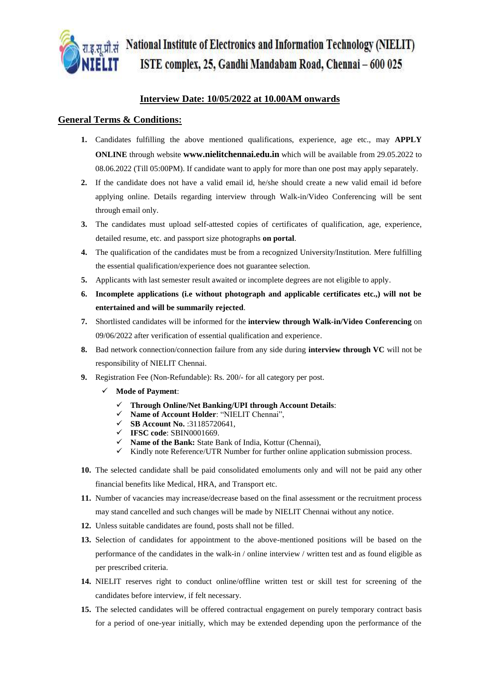

रा.इ.स.प्रौ.सं National Institute of Electronics and Information Technology (NIELIT) ISTE complex, 25, Gandhi Mandabam Road, Chennai - 600 025

### **Interview Date: 10/05/2022 at 10.00AM onwards**

#### **General Terms & Conditions:**

- **1.** Candidates fulfilling the above mentioned qualifications, experience, age etc., may **APPLY ONLINE** through website **[www.nielitchennai.edu.in](http://www.nielitchennai.edu.in/)** which will be available from 29.05.2022 to 08.06.2022 (Till 05:00PM). If candidate want to apply for more than one post may apply separately.
- **2.** If the candidate does not have a valid email id, he/she should create a new valid email id before applying online. Details regarding interview through Walk-in/Video Conferencing will be sent through email only.
- **3.** The candidates must upload self-attested copies of certificates of qualification, age, experience, detailed resume, etc. and passport size photographs **on portal**.
- **4.** The qualification of the candidates must be from a recognized University/Institution. Mere fulfilling the essential qualification/experience does not guarantee selection.
- **5.** Applicants with last semester result awaited or incomplete degrees are not eligible to apply.
- **6. Incomplete applications (i.e without photograph and applicable certificates etc.,) will not be entertained and will be summarily rejected**.
- **7.** Shortlisted candidates will be informed for the **interview through Walk-in/Video Conferencing** on 09/06/2022 after verification of essential qualification and experience.
- **8.** Bad network connection/connection failure from any side during **interview through VC** will not be responsibility of NIELIT Chennai.
- **9.** Registration Fee (Non-Refundable): Rs. 200/- for all category per post.
	- **Mode of Payment**:
		- **Through Online/Net Banking/UPI through Account Details**:
		- **Name of Account Holder**: "NIELIT Chennai",
		- **SB Account No.** :31185720641,
		- **IFSC code**: SBIN0001669.
		- **Name of the Bank:** State Bank of India, Kottur (Chennai),
		- $\checkmark$  Kindly note Reference/UTR Number for further online application submission process.
- **10.** The selected candidate shall be paid consolidated emoluments only and will not be paid any other financial benefits like Medical, HRA, and Transport etc.
- **11.** Number of vacancies may increase/decrease based on the final assessment or the recruitment process may stand cancelled and such changes will be made by NIELIT Chennai without any notice.
- **12.** Unless suitable candidates are found, posts shall not be filled.
- **13.** Selection of candidates for appointment to the above-mentioned positions will be based on the performance of the candidates in the walk-in / online interview / written test and as found eligible as per prescribed criteria.
- **14.** NIELIT reserves right to conduct online/offline written test or skill test for screening of the candidates before interview, if felt necessary.
- **15.** The selected candidates will be offered contractual engagement on purely temporary contract basis for a period of one-year initially, which may be extended depending upon the performance of the